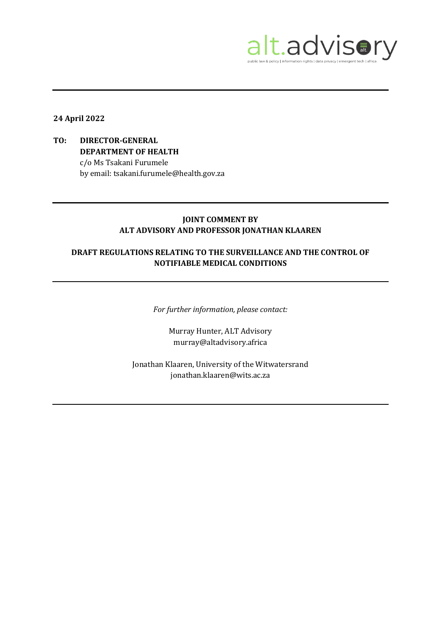

## **24 April 2022**

# **TO: DIRECTOR-GENERAL DEPARTMENT OF HEALTH** c/o Ms Tsakani Furumele by email: tsakani.furumele@health.gov.za

### **JOINT COMMENT BY ALT ADVISORY AND PROFESSOR JONATHAN KLAAREN**

# **DRAFT REGULATIONS RELATING TO THE SURVEILLANCE AND THE CONTROL OF NOTIFIABLE MEDICAL CONDITIONS**

*For further information, please contact:*

Murray Hunter, ALT Advisory murray@altadvisory.africa

Jonathan Klaaren, University of the Witwatersrand jonathan.klaaren@wits.ac.za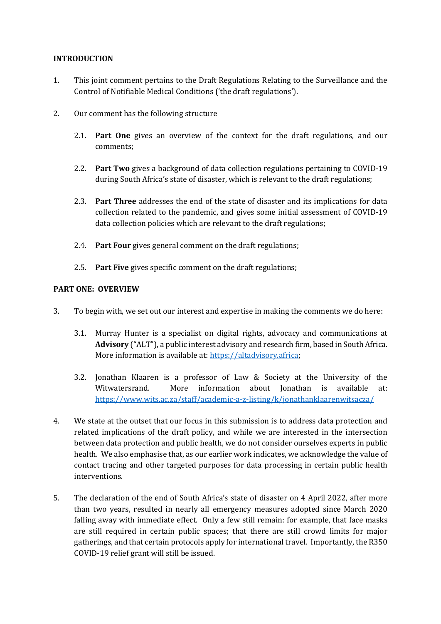### **INTRODUCTION**

- 1. This joint comment pertains to the Draft Regulations Relating to the Surveillance and the Control of Notifiable Medical Conditions ('the draft regulations').
- 2. Our comment has the following structure
	- 2.1. **Part One** gives an overview of the context for the draft regulations, and our comments;
	- 2.2. **Part Two** gives a background of data collection regulations pertaining to COVID-19 during South Africa's state of disaster, which is relevant to the draft regulations;
	- 2.3. **Part Three** addresses the end of the state of disaster and its implications for data collection related to the pandemic, and gives some initial assessment of COVID-19 data collection policies which are relevant to the draft regulations;
	- 2.4. **Part Four** gives general comment on the draft regulations;
	- 2.5. **Part Five** gives specific comment on the draft regulations;

## **PART ONE: OVERVIEW**

- 3. To begin with, we set out our interest and expertise in making the comments we do here:
	- 3.1. Murray Hunter is a specialist on digital rights, advocacy and communications at **Advisory** ("ALT"), a public interest advisory and research firm, based in South Africa. More information is available at[: https://altadvisory.africa;](https://altadvisory.africa/)
	- 3.2. Jonathan Klaaren is a professor of Law & Society at the University of the Witwatersrand. More information about Jonathan is available at: <https://www.wits.ac.za/staff/academic-a-z-listing/k/jonathanklaarenwitsacza/>
- 4. We state at the outset that our focus in this submission is to address data protection and related implications of the draft policy, and while we are interested in the intersection between data protection and public health, we do not consider ourselves experts in public health. We also emphasise that, as our earlier work indicates, we acknowledge the value of contact tracing and other targeted purposes for data processing in certain public health interventions.
- 5. The declaration of the end of South Africa's state of disaster on 4 April 2022, after more than two years, resulted in nearly all emergency measures adopted since March 2020 falling away with immediate effect. Only a few still remain: for example, that face masks are still required in certain public spaces; that there are still crowd limits for major gatherings, and that certain protocols apply for international travel. Importantly, the R350 COVID-19 relief grant will still be issued.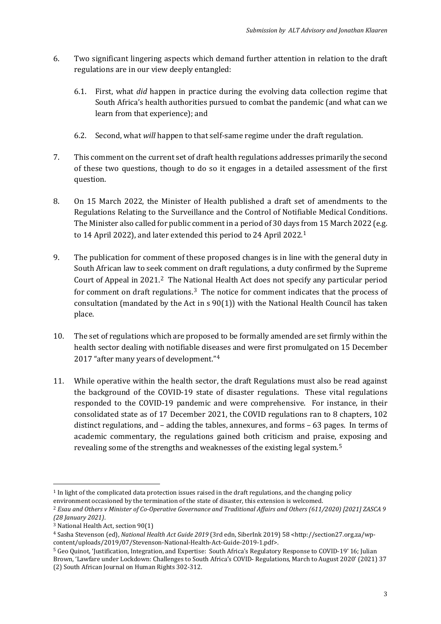- 6. Two significant lingering aspects which demand further attention in relation to the draft regulations are in our view deeply entangled:
	- 6.1. First, what *did* happen in practice during the evolving data collection regime that South Africa's health authorities pursued to combat the pandemic (and what can we learn from that experience); and
	- 6.2. Second, what *will* happen to that self-same regime under the draft regulation.
- 7. This comment on the current set of draft health regulations addresses primarily the second of these two questions, though to do so it engages in a detailed assessment of the first question.
- 8. On 15 March 2022, the Minister of Health published a draft set of amendments to the Regulations Relating to the Surveillance and the Control of Notifiable Medical Conditions. The Minister also called for public comment in a period of 30 days from 15 March 2022 (e.g. to 14 April 2022), and later extended this period to 24 April 2022. [1](#page-2-0)
- 9. The publication for comment of these proposed changes is in line with the general duty in South African law to seek comment on draft regulations, a duty confirmed by the Supreme Court of Appeal in [2](#page-2-1)021.<sup>2</sup> The National Health Act does not specify any particular period for comment on draft regulations.<sup>[3](#page-2-2)</sup> The notice for comment indicates that the process of consultation (mandated by the Act in s 90(1)) with the National Health Council has taken place.
- 10. The set of regulations which are proposed to be formally amended are set firmly within the health sector dealing with notifiable diseases and were first promulgated on 15 December 2017 "after many years of development."[4](#page-2-3)
- 11. While operative within the health sector, the draft Regulations must also be read against the background of the COVID-19 state of disaster regulations. These vital regulations responded to the COVID-19 pandemic and were comprehensive. For instance, in their consolidated state as of 17 December 2021, the COVID regulations ran to 8 chapters, 102 distinct regulations, and – adding the tables, annexures, and forms – 63 pages. In terms of academic commentary, the regulations gained both criticism and praise, exposing and revealing some of the strengths and weaknesses of the existing legal system.[5](#page-2-4)

<span id="page-2-0"></span> $1$  In light of the complicated data protection issues raised in the draft regulations, and the changing policy environment occasioned by the termination of the state of disaster, this extension is welcomed.

<span id="page-2-1"></span><sup>2</sup> *Esau and Others v Minister of Co-Operative Governance and Traditional Affairs and Others (611/2020) [2021] ZASCA 9 (28 January 2021)*.

<span id="page-2-2"></span><sup>3</sup> National Health Act, section 90(1)

<span id="page-2-3"></span><sup>4</sup> Sasha Stevenson (ed), *National Health Act Guide 2019* (3rd edn, SiberInk 2019) 58 <http://section27.org.za/wpcontent/uploads/2019/07/Stevenson-National-Health-Act-Guide-2019-1.pdf>.

<span id="page-2-4"></span><sup>5</sup> Geo Quinot, 'Justification, Integration, and Expertise: South Africa's Regulatory Response to COVID-19' 16; Julian Brown, 'Lawfare under Lockdown: Challenges to South Africa's COVID- Regulations, March to August 2020' (2021) 37 (2) South African Journal on Human Rights 302-312.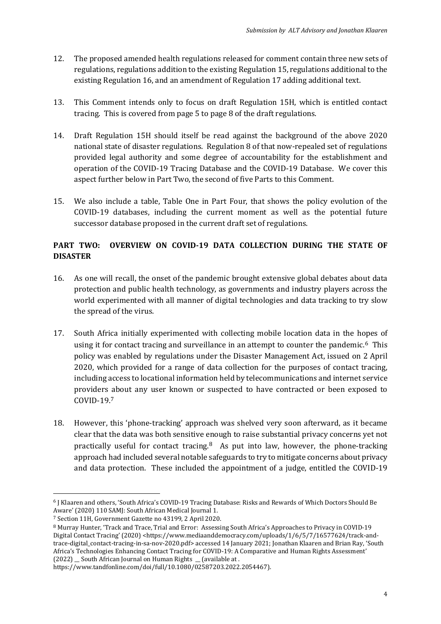- 12. The proposed amended health regulations released for comment contain three new sets of regulations, regulations addition to the existing Regulation 15, regulations additional to the existing Regulation 16, and an amendment of Regulation 17 adding additional text.
- 13. This Comment intends only to focus on draft Regulation 15H, which is entitled contact tracing. This is covered from page 5 to page 8 of the draft regulations.
- 14. Draft Regulation 15H should itself be read against the background of the above 2020 national state of disaster regulations. Regulation 8 of that now-repealed set of regulations provided legal authority and some degree of accountability for the establishment and operation of the COVID-19 Tracing Database and the COVID-19 Database. We cover this aspect further below in Part Two, the second of five Parts to this Comment.
- 15. We also include a table, Table One in Part Four, that shows the policy evolution of the COVID-19 databases, including the current moment as well as the potential future successor database proposed in the current draft set of regulations.

# **PART TWO: OVERVIEW ON COVID-19 DATA COLLECTION DURING THE STATE OF DISASTER**

- 16. As one will recall, the onset of the pandemic brought extensive global debates about data protection and public health technology, as governments and industry players across the world experimented with all manner of digital technologies and data tracking to try slow the spread of the virus.
- 17. South Africa initially experimented with collecting mobile location data in the hopes of using it for contact tracing and surveillance in an attempt to counter the pandemic.<sup>[6](#page-3-0)</sup> This policy was enabled by regulations under the Disaster Management Act, issued on 2 April 2020, which provided for a range of data collection for the purposes of contact tracing, including access to locational information held by telecommunications and internet service providers about any user known or suspected to have contracted or been exposed to COVID-19.[7](#page-3-1)
- 18. However, this 'phone-tracking' approach was shelved very soon afterward, as it became clear that the data was both sensitive enough to raise substantial privacy concerns yet not practically useful for contact tracing. [8](#page-3-2) As put into law, however, the phone-tracking approach had included several notable safeguards to try to mitigate concerns about privacy and data protection. These included the appointment of a judge, entitled the COVID-19

<span id="page-3-0"></span><sup>6</sup> J Klaaren and others, 'South Africa's COVID-19 Tracing Database: Risks and Rewards of Which Doctors Should Be Aware' (2020) 110 SAMJ: South African Medical Journal 1.

<span id="page-3-1"></span><sup>7</sup> Section 11H, Government Gazette no 43199, 2 April 2020.

<span id="page-3-2"></span><sup>8</sup> Murray Hunter, 'Track and Trace, Trial and Error: Assessing South Africa's Approaches to Privacy in COVID-19 Digital Contact Tracing' (2020) <https://www.mediaanddemocracy.com/uploads/1/6/5/7/16577624/track-andtrace-digital\_contact-tracing-in-sa-nov-2020.pdf> accessed 14 January 2021; Jonathan Klaaren and Brian Ray, 'South Africa's Technologies Enhancing Contact Tracing for COVID-19: A Comparative and Human Rights Assessment' (2022) \_\_ South African Journal on Human Rights \_\_ (available at .

https://www.tandfonline.com/doi/full/10.1080/02587203.2022.2054467).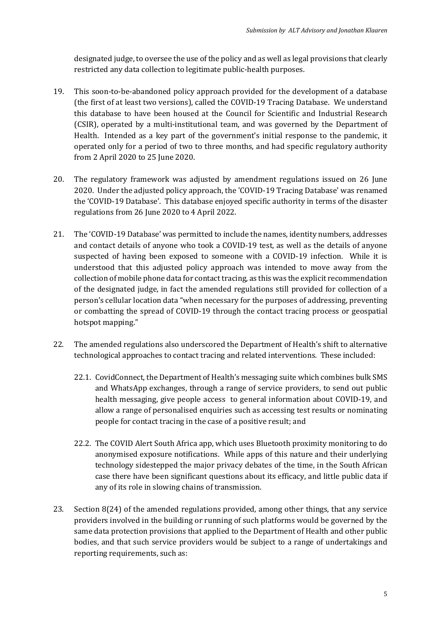designated judge, to oversee the use of the policy and as well as legal provisions that clearly restricted any data collection to legitimate public-health purposes.

- 19. This soon-to-be-abandoned policy approach provided for the development of a database (the first of at least two versions), called the COVID-19 Tracing Database. We understand this database to have been housed at the Council for Scientific and Industrial Research (CSIR), operated by a multi-institutional team, and was governed by the Department of Health. Intended as a key part of the government's initial response to the pandemic, it operated only for a period of two to three months, and had specific regulatory authority from 2 April 2020 to 25 June 2020.
- 20. The regulatory framework was adjusted by amendment regulations issued on 26 June 2020. Under the adjusted policy approach, the 'COVID-19 Tracing Database' was renamed the 'COVID-19 Database'. This database enjoyed specific authority in terms of the disaster regulations from 26 June 2020 to 4 April 2022.
- 21. The 'COVID-19 Database' was permitted to include the names, identity numbers, addresses and contact details of anyone who took a COVID-19 test, as well as the details of anyone suspected of having been exposed to someone with a COVID-19 infection. While it is understood that this adjusted policy approach was intended to move away from the collection of mobile phone data for contact tracing, as this was the explicit recommendation of the designated judge, in fact the amended regulations still provided for collection of a person's cellular location data "when necessary for the purposes of addressing, preventing or combatting the spread of COVID-19 through the contact tracing process or geospatial hotspot mapping."
- 22. The amended regulations also underscored the Department of Health's shift to alternative technological approaches to contact tracing and related interventions. These included:
	- 22.1. CovidConnect, the Department of Health's messaging suite which combines bulk SMS and WhatsApp exchanges, through a range of service providers, to send out public health messaging, give people access to general information about COVID-19, and allow a range of personalised enquiries such as accessing test results or nominating people for contact tracing in the case of a positive result; and
	- 22.2. The COVID Alert South Africa app, which uses Bluetooth proximity monitoring to do anonymised exposure notifications. While apps of this nature and their underlying technology sidestepped the major privacy debates of the time, in the South African case there have been significant questions about its efficacy, and little public data if any of its role in slowing chains of transmission.
- 23. Section 8(24) of the amended regulations provided, among other things, that any service providers involved in the building or running of such platforms would be governed by the same data protection provisions that applied to the Department of Health and other public bodies, and that such service providers would be subject to a range of undertakings and reporting requirements, such as: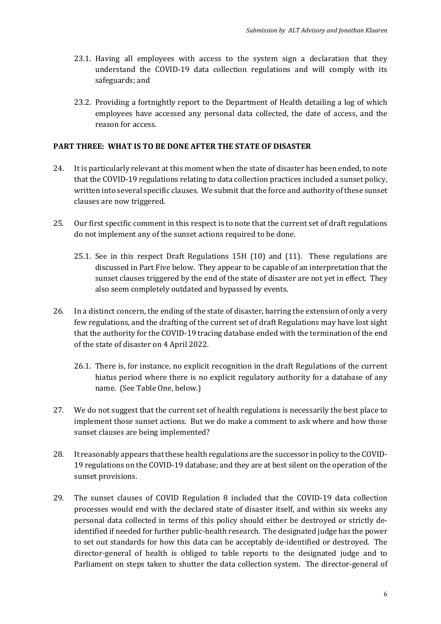- 23.1. Having all employees with access to the system sign a declaration that they understand the COVID-19 data collection regulations and will comply with its safeguards; and
- 23.2. Providing a fortnightly report to the Department of Health detailing a log of which employees have accessed any personal data collected, the date of access, and the reason for access.

#### **PART THREE: WHAT IS TO BE DONE AFTER THE STATE OF DISASTER**

- 24. It is particularly relevant at this moment when the state of disaster has been ended, to note that the COVID-19 regulations relating to data collection practices included a sunset policy, written into several specific clauses. We submit that the force and authority of these sunset clauses are now triggered.
- 25. Our first specific comment in this respect is to note that the current set of draft regulations do not implement any of the sunset actions required to be done.
	- 25.1. See in this respect Draft Regulations 15H (10) and (11). These regulations are discussed in Part Five below. They appear to be capable of an interpretation that the sunset clauses triggered by the end of the state of disaster are not yet in effect. They also seem completely outdated and bypassed by events.
- 26. In a distinct concern, the ending of the state of disaster, barring the extension of only a very few regulations, and the drafting of the current set of draft Regulations may have lost sight that the authority for the COVID-19 tracing database ended with the termination of the end of the state of disaster on 4 April 2022.
	- 26.1. There is, for instance, no explicit recognition in the draft Regulations of the current hiatus period where there is no explicit regulatory authority for a database of any name. (See Table One, below.)
- 27. We do not suggest that the current set of health regulations is necessarily the best place to implement those sunset actions. But we do make a comment to ask where and how those sunset clauses are being implemented?
- 28. It reasonably appears that these health regulations are the successor in policy to the COVID-19 regulations on the COVID-19 database; and they are at best silent on the operation of the sunset provisions.
- 29. The sunset clauses of COVID Regulation 8 included that the COVID-19 data collection processes would end with the declared state of disaster itself, and within six weeks any personal data collected in terms of this policy should either be destroyed or strictly deidentified if needed for further public-health research. The designated judge has the power to set out standards for how this data can be acceptably de-identified or destroyed. The director-general of health is obliged to table reports to the designated judge and to Parliament on steps taken to shutter the data collection system. The director-general of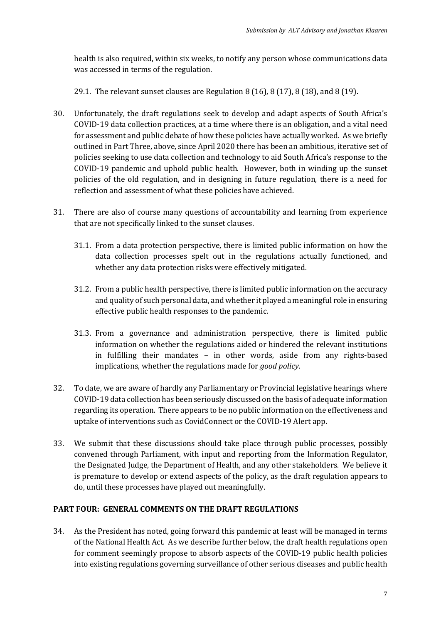health is also required, within six weeks, to notify any person whose communications data was accessed in terms of the regulation.

29.1. The relevant sunset clauses are Regulation 8 (16), 8 (17), 8 (18), and 8 (19).

- 30. Unfortunately, the draft regulations seek to develop and adapt aspects of South Africa's COVID-19 data collection practices, at a time where there is an obligation, and a vital need for assessment and public debate of how these policies have actually worked. As we briefly outlined in Part Three, above, since April 2020 there has been an ambitious, iterative set of policies seeking to use data collection and technology to aid South Africa's response to the COVID-19 pandemic and uphold public health. However, both in winding up the sunset policies of the old regulation, and in designing in future regulation, there is a need for reflection and assessment of what these policies have achieved.
- 31. There are also of course many questions of accountability and learning from experience that are not specifically linked to the sunset clauses.
	- 31.1. From a data protection perspective, there is limited public information on how the data collection processes spelt out in the regulations actually functioned, and whether any data protection risks were effectively mitigated.
	- 31.2. From a public health perspective, there is limited public information on the accuracy and quality of such personal data, and whether it played a meaningful role in ensuring effective public health responses to the pandemic.
	- 31.3. From a governance and administration perspective, there is limited public information on whether the regulations aided or hindered the relevant institutions in fulfilling their mandates – in other words, aside from any rights-based implications, whether the regulations made for *good policy*.
- 32. To date, we are aware of hardly any Parliamentary or Provincial legislative hearings where COVID-19 data collection has been seriously discussed on the basis of adequate information regarding its operation. There appears to be no public information on the effectiveness and uptake of interventions such as CovidConnect or the COVID-19 Alert app.
- 33. We submit that these discussions should take place through public processes, possibly convened through Parliament, with input and reporting from the Information Regulator, the Designated Judge, the Department of Health, and any other stakeholders. We believe it is premature to develop or extend aspects of the policy, as the draft regulation appears to do, until these processes have played out meaningfully.

### **PART FOUR: GENERAL COMMENTS ON THE DRAFT REGULATIONS**

34. As the President has noted, going forward this pandemic at least will be managed in terms of the National Health Act. As we describe further below, the draft health regulations open for comment seemingly propose to absorb aspects of the COVID-19 public health policies into existing regulations governing surveillance of other serious diseases and public health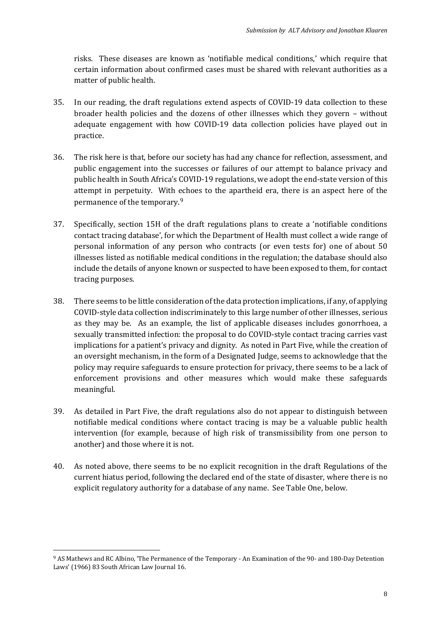risks. These diseases are known as 'notifiable medical conditions,' which require that certain information about confirmed cases must be shared with relevant authorities as a matter of public health.

- 35. In our reading, the draft regulations extend aspects of COVID-19 data collection to these broader health policies and the dozens of other illnesses which they govern – without adequate engagement with how COVID-19 data collection policies have played out in practice.
- 36. The risk here is that, before our society has had any chance for reflection, assessment, and public engagement into the successes or failures of our attempt to balance privacy and public health in South Africa's COVID-19 regulations, we adopt the end-state version of this attempt in perpetuity. With echoes to the apartheid era, there is an aspect here of the permanence of the temporary.[9](#page-7-0)
- 37. Specifically, section 15H of the draft regulations plans to create a 'notifiable conditions contact tracing database', for which the Department of Health must collect a wide range of personal information of any person who contracts (or even tests for) one of about 50 illnesses listed as notifiable medical conditions in the regulation; the database should also include the details of anyone known or suspected to have been exposed to them, for contact tracing purposes.
- 38. There seems to be little consideration of the data protection implications, if any, of applying COVID-style data collection indiscriminately to this large number of other illnesses, serious as they may be. As an example, the list of applicable diseases includes gonorrhoea, a sexually transmitted infection: the proposal to do COVID-style contact tracing carries vast implications for a patient's privacy and dignity. As noted in Part Five, while the creation of an oversight mechanism, in the form of a Designated Judge, seems to acknowledge that the policy may require safeguards to ensure protection for privacy, there seems to be a lack of enforcement provisions and other measures which would make these safeguards meaningful.
- 39. As detailed in Part Five, the draft regulations also do not appear to distinguish between notifiable medical conditions where contact tracing is may be a valuable public health intervention (for example, because of high risk of transmissibility from one person to another) and those where it is not.
- 40. As noted above, there seems to be no explicit recognition in the draft Regulations of the current hiatus period, following the declared end of the state of disaster, where there is no explicit regulatory authority for a database of any name. See Table One, below.

<span id="page-7-0"></span><sup>9</sup> AS Mathews and RC Albino, 'The Permanence of the Temporary - An Examination of the 90- and 180-Day Detention Laws' (1966) 83 South African Law Journal 16.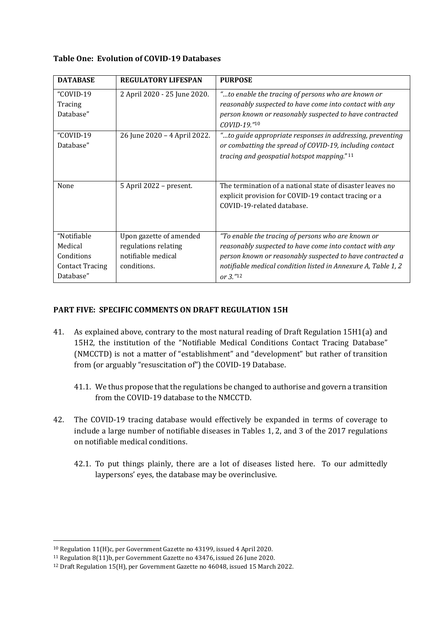#### **Table One: Evolution of COVID-19 Databases**

| <b>DATABASE</b>        | <b>REGULATORY LIFESPAN</b>   | <b>PURPOSE</b>                                                |
|------------------------|------------------------------|---------------------------------------------------------------|
| "COVID-19"             | 2 April 2020 - 25 June 2020. | "to enable the tracing of persons who are known or            |
| Tracing                |                              | reasonably suspected to have come into contact with any       |
| Database"              |                              | person known or reasonably suspected to have contracted       |
|                        |                              | COVID-19."10                                                  |
| "COVID-19"             | 26 June 2020 - 4 April 2022. | "to guide appropriate responses in addressing, preventing     |
| Database"              |                              | or combatting the spread of COVID-19, including contact       |
|                        |                              | tracing and geospatial hotspot mapping."11                    |
|                        |                              |                                                               |
|                        |                              |                                                               |
| None                   | 5 April 2022 - present.      | The termination of a national state of disaster leaves no     |
|                        |                              | explicit provision for COVID-19 contact tracing or a          |
|                        |                              | COVID-19-related database.                                    |
|                        |                              |                                                               |
| "Notifiable            | Upon gazette of amended      | "To enable the tracing of persons who are known or            |
| Medical                | regulations relating         | reasonably suspected to have come into contact with any       |
| Conditions             | notifiable medical           | person known or reasonably suspected to have contracted a     |
| <b>Contact Tracing</b> | conditions.                  | notifiable medical condition listed in Annexure A, Table 1, 2 |
| Database"              |                              | or $3.^{"12}$                                                 |

## **PART FIVE: SPECIFIC COMMENTS ON DRAFT REGULATION 15H**

- 41. As explained above, contrary to the most natural reading of Draft Regulation 15H1(a) and 15H2, the institution of the "Notifiable Medical Conditions Contact Tracing Database" (NMCCTD) is not a matter of "establishment" and "development" but rather of transition from (or arguably "resuscitation of") the COVID-19 Database.
	- 41.1. We thus propose that the regulations be changed to authorise and govern a transition from the COVID-19 database to the NMCCTD.
- 42. The COVID-19 tracing database would effectively be expanded in terms of coverage to include a large number of notifiable diseases in Tables 1, 2, and 3 of the 2017 regulations on notifiable medical conditions.
	- 42.1. To put things plainly, there are a lot of diseases listed here. To our admittedly laypersons' eyes, the database may be overinclusive.

<span id="page-8-0"></span><sup>10</sup> Regulation 11(H)c, per Government Gazette no 43199, issued 4 April 2020.

<span id="page-8-1"></span><sup>11</sup> Regulation 8(11)b, per Government Gazette no 43476, issued 26 June 2020.

<span id="page-8-2"></span><sup>12</sup> Draft Regulation 15(H), per Government Gazette no 46048, issued 15 March 2022.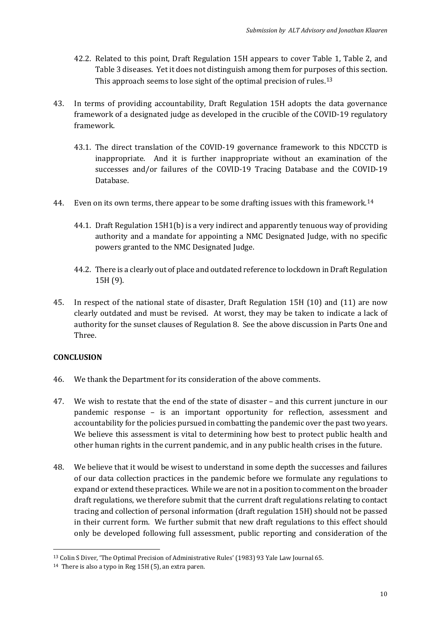- 42.2. Related to this point, Draft Regulation 15H appears to cover Table 1, Table 2, and Table 3 diseases. Yet it does not distinguish among them for purposes of this section. This approach seems to lose sight of the optimal precision of rules.<sup>[13](#page-9-0)</sup>
- 43. In terms of providing accountability, Draft Regulation 15H adopts the data governance framework of a designated judge as developed in the crucible of the COVID-19 regulatory framework.
	- 43.1. The direct translation of the COVID-19 governance framework to this NDCCTD is inappropriate. And it is further inappropriate without an examination of the successes and/or failures of the COVID-19 Tracing Database and the COVID-19 Database.
- 44. Even on its own terms, there appear to be some drafting issues with this framework.<sup>[14](#page-9-1)</sup>
	- 44.1. Draft Regulation 15H1(b) is a very indirect and apparently tenuous way of providing authority and a mandate for appointing a NMC Designated Judge, with no specific powers granted to the NMC Designated Judge.
	- 44.2. There is a clearly out of place and outdated reference to lockdown in Draft Regulation 15H (9).
- 45. In respect of the national state of disaster, Draft Regulation 15H (10) and (11) are now clearly outdated and must be revised. At worst, they may be taken to indicate a lack of authority for the sunset clauses of Regulation 8. See the above discussion in Parts One and Three.

## **CONCLUSION**

- 46. We thank the Department for its consideration of the above comments.
- 47. We wish to restate that the end of the state of disaster and this current juncture in our pandemic response – is an important opportunity for reflection, assessment and accountability for the policies pursued in combatting the pandemic over the past two years. We believe this assessment is vital to determining how best to protect public health and other human rights in the current pandemic, and in any public health crises in the future.
- 48. We believe that it would be wisest to understand in some depth the successes and failures of our data collection practices in the pandemic before we formulate any regulations to expand or extend these practices. While we are not in a position to comment on the broader draft regulations, we therefore submit that the current draft regulations relating to contact tracing and collection of personal information (draft regulation 15H) should not be passed in their current form. We further submit that new draft regulations to this effect should only be developed following full assessment, public reporting and consideration of the

<span id="page-9-0"></span><sup>13</sup> Colin S Diver, 'The Optimal Precision of Administrative Rules' (1983) 93 Yale Law Journal 65.

<span id="page-9-1"></span><sup>14</sup> There is also a typo in Reg 15H (5), an extra paren.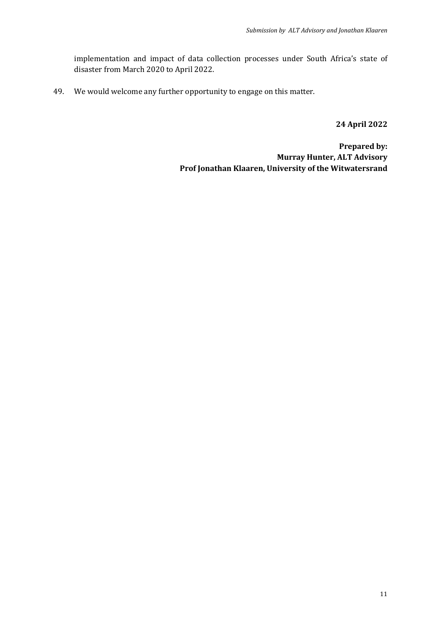implementation and impact of data collection processes under South Africa's state of disaster from March 2020 to April 2022.

49. We would welcome any further opportunity to engage on this matter.

**24 April 2022**

**Prepared by: Murray Hunter, ALT Advisory Prof Jonathan Klaaren, University of the Witwatersrand**